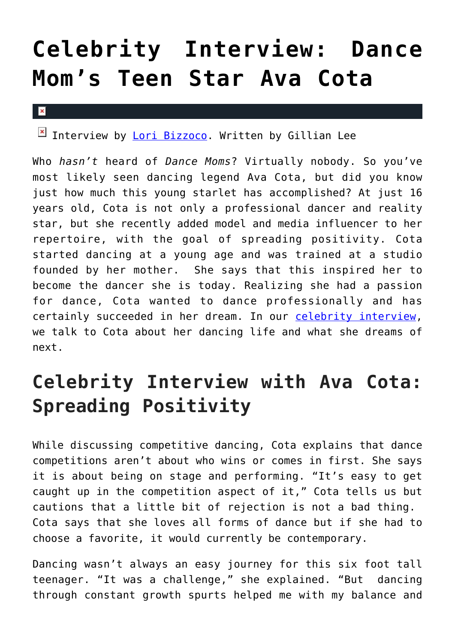## **[Celebrity Interview: Dance](https://cupidspulse.com/126781/celebrity-interview-dance-moms-teen-star-ava-cota/) [Mom's Teen Star Ava Cota](https://cupidspulse.com/126781/celebrity-interview-dance-moms-teen-star-ava-cota/)**

 $\mathbf x$ 

Interview by [Lori Bizzoco](http://cupidspulse.com/104596/lori-bizzoco/). Written by Gillian Lee

Who *hasn't* heard of *Dance Moms*? Virtually nobody. So you've most likely seen dancing legend Ava Cota, but did you know just how much this young starlet has accomplished? At just 16 years old, Cota is not only a professional dancer and reality star, but she recently added model and media influencer to her repertoire, with the goal of spreading positivity. Cota started dancing at a young age and was trained at a studio founded by her mother. She says that this inspired her to become the dancer she is today. Realizing she had a passion for dance, Cota wanted to dance professionally and has certainly succeeded in her dream. In our [celebrity interview,](http://cupidspulse.com/celebrity-news/celebrity-interviews/) we talk to Cota about her dancing life and what she dreams of next.

## **Celebrity Interview with Ava Cota: Spreading Positivity**

While discussing competitive dancing, Cota explains that dance competitions aren't about who wins or comes in first. She says it is about being on stage and performing. "It's easy to get caught up in the competition aspect of it," Cota tells us but cautions that a little bit of rejection is not a bad thing. Cota says that she loves all forms of dance but if she had to choose a favorite, it would currently be contemporary.

Dancing wasn't always an easy journey for this six foot tall teenager. "It was a challenge," she explained. "But dancing through constant growth spurts helped me with my balance and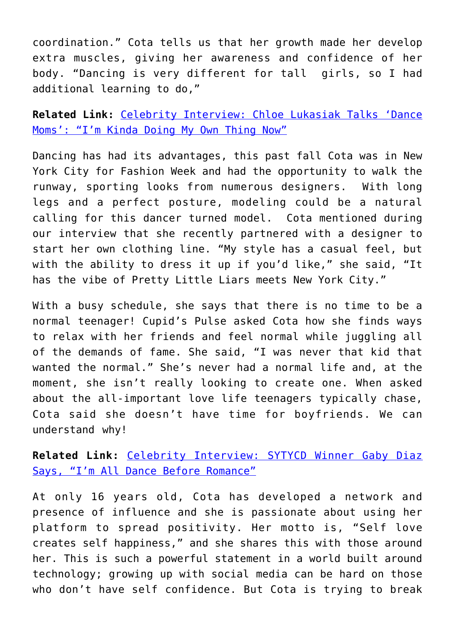coordination." Cota tells us that her growth made her develop extra muscles, giving her awareness and confidence of her body. "Dancing is very different for tall girls, so I had additional learning to do,"

**Related Link:** [Celebrity Interview: Chloe Lukasiak Talks 'Dance](http://cupidspulse.com/115155/celebrity-interview-chloe-lukasiak-dance-moms/) [Moms': "I'm Kinda Doing My Own Thing Now"](http://cupidspulse.com/115155/celebrity-interview-chloe-lukasiak-dance-moms/)

Dancing has had its advantages, this past fall Cota was in New York City for Fashion Week and had the opportunity to walk the runway, sporting looks from numerous designers. With long legs and a perfect posture, modeling could be a natural calling for this dancer turned model. Cota mentioned during our interview that she recently partnered with a designer to start her own clothing line. "My style has a casual feel, but with the ability to dress it up if you'd like," she said, "It has the vibe of Pretty Little Liars meets New York City."

With a busy schedule, she says that there is no time to be a normal teenager! Cupid's Pulse asked Cota how she finds ways to relax with her friends and feel normal while juggling all of the demands of fame. She said, "I was never that kid that wanted the normal." She's never had a normal life and, at the moment, she isn't really looking to create one. When asked about the all-important love life teenagers typically chase, Cota said she doesn't have time for boyfriends. We can understand why!

**Related Link:** [Celebrity Interview: SYTYCD Winner Gaby Diaz](http://cupidspulse.com/101387/celebrity-interview-sytycd-winner-gaby-diaz-dance-before-romance/) [Says, "I'm All Dance Before Romance"](http://cupidspulse.com/101387/celebrity-interview-sytycd-winner-gaby-diaz-dance-before-romance/)

At only 16 years old, Cota has developed a network and presence of influence and she is passionate about using her platform to spread positivity. Her motto is, "Self love creates self happiness," and she shares this with those around her. This is such a powerful statement in a world built around technology; growing up with social media can be hard on those who don't have self confidence. But Cota is trying to break